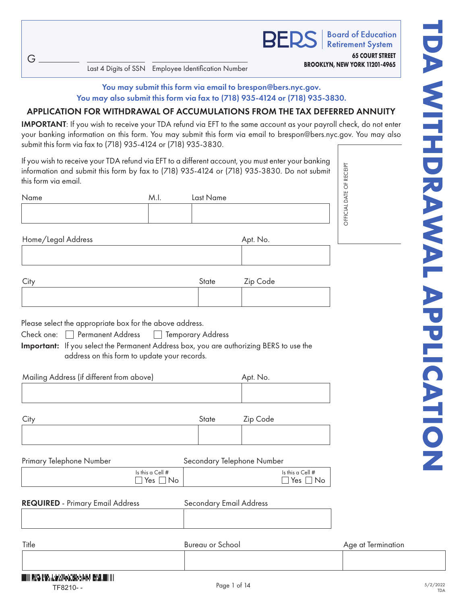$G$ .

Last 4 Digits of SSN Employee Identification Number

**Board of Education Retirement System 65 COURT STREET BROOKLYN, NEW YORK 11201-4965**

#### You may submit this form via email to brespon@bers.nyc.gov. You may also submit this form via fax to (718) 935-4124 or (718) 935-3830.

### APPLICATION FOR WITHDRAWAL OF ACCUMULATIONS FROM THE TAX DEFERRED ANNUITY

IMPORTANT: If you wish to receive your TDA refund via EFT to the same account as your payroll check, do not enter your banking information on this form. You may submit this form via email to brespon@bers.nyc.gov. You may also submit this form via fax to (718) 935-4124 or (718) 935-3830.

If you wish to receive your TDA refund via EFT to a different account, you must enter your banking information and submit this form by fax to (718) 935-4124 or (718) 935-3830. Do not submit this form via email.

| Name | M.I. | Last Name |  |
|------|------|-----------|--|
|      |      |           |  |

Home/Legal Address Apt. No.

| City | State | Zip Code |
|------|-------|----------|
|      |       |          |

Please select the appropriate box for the above address.

Check one: Permanent Address Temporary Address

Important: If you select the Permanent Address box, you are authorizing BERS to use the address on this form to update your records.

Mailing Address (if different from above) Apt. No.

| City | State | Zip Code |
|------|-------|----------|
|      |       |          |

#### Primary Telephone Number Secondary Telephone Number

|  | Is this a Cell #<br>'es<br>◡ | Is this a Cell $#$<br>res<br>◡ |
|--|------------------------------|--------------------------------|
|--|------------------------------|--------------------------------|

#### REQUIRED - Primary Email Address Secondary Email Address

Title **Example 20 State State School** Bureau or School **Age at Termination**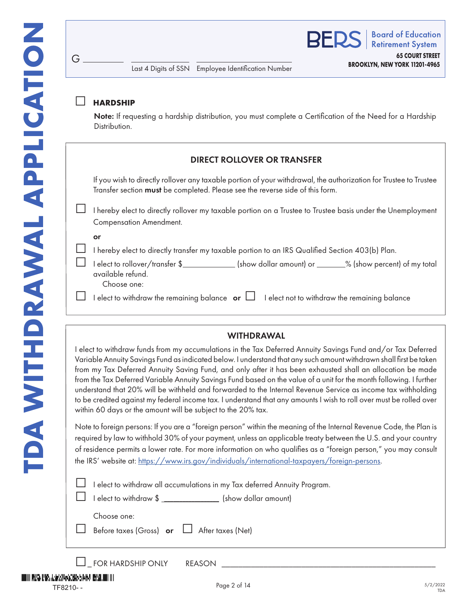# □ **HARDSHIP**

 $G$ .

Note: If requesting a hardship distribution, you must complete a Certification of the Need for a Hardship Distribution.

# DIRECT ROLLOVER OR TRANSFER

If you wish to directly rollover any taxable portion of your withdrawal, the authorization for Trustee to Trustee Transfer section must be completed. Please see the reverse side of this form.

□ I hereby elect to directly rollover my taxable portion on a Trustee to Trustee basis under the Unemployment Compensation Amendment.

#### or

□ I hereby elect to directly transfer my taxable portion to an IRS Qualified Section 403(b) Plan.

| <b>Example to the contract of the contract in the contract of the contract of the contract of the contract of the contract of the contract of the contract of the contract of the contract of the contract of the contract of th</b> |                           |                                          |
|--------------------------------------------------------------------------------------------------------------------------------------------------------------------------------------------------------------------------------------|---------------------------|------------------------------------------|
| $\Box$ I elect to rollover/transfer \$                                                                                                                                                                                               | (show dollar amount) or _ | $\frac{1}{2}$ (show percent) of my total |
| available refund.                                                                                                                                                                                                                    |                           |                                          |
| Choose one:                                                                                                                                                                                                                          |                           |                                          |

 $\Box$  I elect to withdraw the remaining balance  $\Box$  I elect not to withdraw the remaining balance

#### WITHDRAWAL

I elect to withdraw funds from my accumulations in the Tax Deferred Annuity Savings Fund and/or Tax Deferred Variable Annuity Savings Fund as indicated below. I understand that any such amount withdrawn shall first be taken from my Tax Deferred Annuity Saving Fund, and only after it has been exhausted shall an allocation be made from the Tax Deferred Variable Annuity Savings Fund based on the value of a unit for the month following. I further understand that 20% will be withheld and forwarded to the Internal Revenue Service as income tax withholding to be credited against my federal income tax. I understand that any amounts I wish to roll over must be rolled over within 60 days or the amount will be subject to the 20% tax.

Note to foreign persons: If you are a "foreign person" within the meaning of the Internal Revenue Code, the Plan is required by law to withhold 30% of your payment, unless an applicable treaty between the U.S. and your country of residence permits a lower rate. For more information on who qualifies as a "foreign person," you may consult the IRS' website at: [https://www.irs.gov/individuals/international-taxpayers/foreign-persons.](https://www.irs.gov/individuals/international-taxpayers/foreign-persons)

| $\Box$ I elect to withdraw all accumulations in my Tax deferred Annuity Program. |
|----------------------------------------------------------------------------------|
|                                                                                  |

|  |                               | <b>Example 1</b> City in William and accompanying in my fax actorities? William |                      |
|--|-------------------------------|---------------------------------------------------------------------------------|----------------------|
|  | $\Box$ I elect to withdraw \$ |                                                                                 | (show dollar amount) |

Choose one:

| -----------                                             |  |  |
|---------------------------------------------------------|--|--|
| $\Box$ Before taxes (Gross) or $\Box$ After taxes (Net) |  |  |

 $\Box$  FOR HARDSHIP ONLY REASON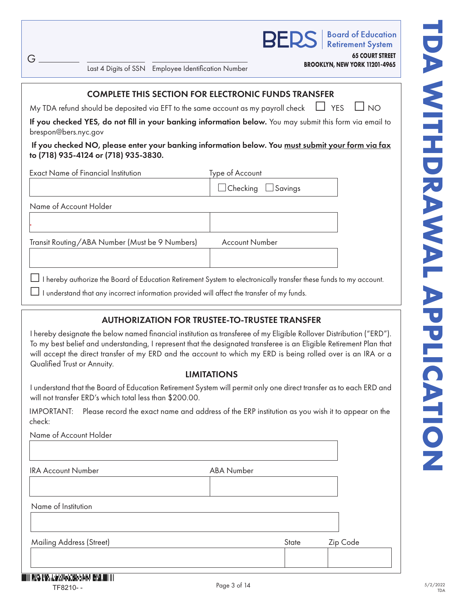**Board of Education Retirement System** 

**65 COURT STREET**

**BROOKLYN, NEW YORK 11201-4965** Last 4 Digits of SSN Employee Identification Number

# COMPLETE THIS SECTION FOR ELECTRONIC FUNDS TRANSFER

My TDA refund should be deposited via EFT to the same account as my payroll check  $\Box$  YES  $\Box$  NO

If you checked YES, do not fill in your banking information below. You may submit this form via email to brespon@bers.nyc.gov

#### If you checked NO, please enter your banking information below. You <u>must submit your form via fax</u> to (718) 935-4124 or (718) 935-3830.

| <b>Exact Name of Financial Institution</b>     | Type of Account                |
|------------------------------------------------|--------------------------------|
|                                                | $\Box$ Checking $\Box$ Savings |
| Name of Account Holder                         |                                |
|                                                |                                |
| Transit Routing/ABA Number (Must be 9 Numbers) | <b>Account Number</b>          |
|                                                |                                |
|                                                |                                |

□I hereby authorize the Board of Education Retirement System to electronically transfer these funds to my account.

 $\Box$  I understand that any incorrect information provided will affect the transfer of my funds.

# AUTHORIZATION FOR TRUSTEE-TO-TRUSTEE TRANSFER

I hereby designate the below named financial institution as transferee of my Eligible Rollover Distribution ("ERD"). To my best belief and understanding, I represent that the designated transferee is an Eligible Retirement Plan that will accept the direct transfer of my ERD and the account to which my ERD is being rolled over is an IRA or a Qualified Trust or Annuity.

# LIMITATIONS

I understand that the Board of Education Retirement System will permit only one direct transfer as to each ERD and will not transfer ERD's which total less than \$200.00.

IMPORTANT: Please record the exact name and address of the ERP institution as you wish it to appear on the check:

Name of Account Holder

IRA Account Number **ABA Number** ABA Number

| Name of Institution             |       |          |
|---------------------------------|-------|----------|
|                                 |       |          |
|                                 |       |          |
| <b>Mailing Address (Street)</b> | State | Zip Code |
|                                 |       |          |
|                                 |       |          |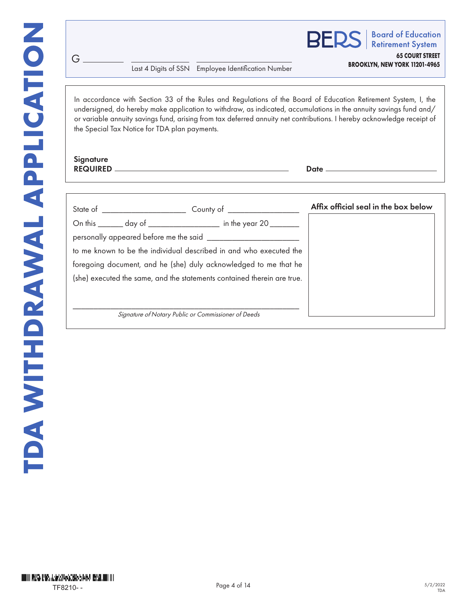**BROOKLYN, NEW YORK 11201-4965** Last 4 Digits of SSN Employee Identification Number

**BERS Retirement System 65 COURT STREET**

**Board of Education** 

In accordance with Section 33 of the Rules and Regulations of the Board of Education Retirement System, I, the undersigned, do hereby make application to withdraw, as indicated, accumulations in the annuity savings fund and/ or variable annuity savings fund, arising from tax deferred annuity net contributions. I hereby acknowledge receipt of the Special Tax Notice for TDA plan payments.

#### **Signature** REQUIRED Date - Date -

G

|                                                                    |                                                                         | Affix official seal in the box below |
|--------------------------------------------------------------------|-------------------------------------------------------------------------|--------------------------------------|
|                                                                    | On this _______ day of ________________ in the year 20 _____            |                                      |
|                                                                    |                                                                         |                                      |
| to me known to be the individual described in and who executed the |                                                                         |                                      |
| foregoing document, and he (she) duly acknowledged to me that he   |                                                                         |                                      |
|                                                                    | (she) executed the same, and the statements contained therein are true. |                                      |
|                                                                    |                                                                         |                                      |
|                                                                    |                                                                         |                                      |
|                                                                    | Signature of Notary Public or Commissioner of Deeds                     |                                      |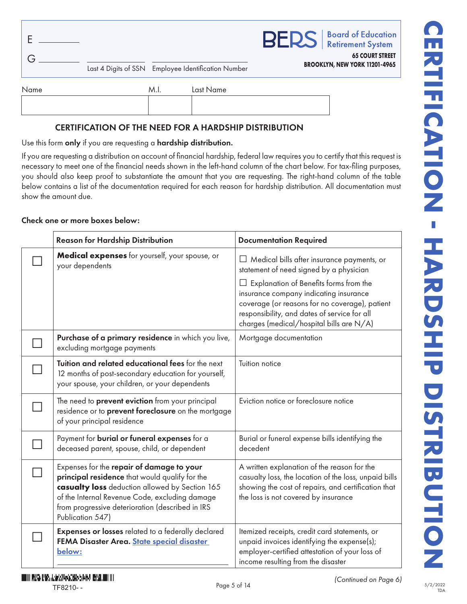|  |                                                     | <b>BERS</b>   Board of Education                        |  |
|--|-----------------------------------------------------|---------------------------------------------------------|--|
|  | Last 4 Digits of SSN Employee Identification Number | <b>65 COURT STREET</b><br>BROOKLYN, NEW YORK 11201-4965 |  |
|  |                                                     |                                                         |  |

| Name | M.I. | Last Name |
|------|------|-----------|
|      |      |           |
|      |      |           |
|      |      |           |

# CERTIFICATION OF THE NEED FOR A HARDSHIP DISTRIBUTION

Use this form only if you are requesting a hardship distribution.

If you are requesting a distribution on account of financial hardship, federal law requires you to certify that this request is necessary to meet one of the financial needs shown in the left-hand column of the chart below. For tax-filing purposes, you should also keep proof to substantiate the amount that you are requesting. The right-hand column of the table below contains a list of the documentation required for each reason for hardship distribution. All documentation must show the amount due.

#### Check one or more boxes below:

| <b>Reason for Hardship Distribution</b>                                                                                                                                                                                                                                 | <b>Documentation Required</b>                                                                                                                                                                                                  |
|-------------------------------------------------------------------------------------------------------------------------------------------------------------------------------------------------------------------------------------------------------------------------|--------------------------------------------------------------------------------------------------------------------------------------------------------------------------------------------------------------------------------|
| Medical expenses for yourself, your spouse, or<br>your dependents                                                                                                                                                                                                       | $\Box$ Medical bills after insurance payments, or<br>statement of need signed by a physician                                                                                                                                   |
|                                                                                                                                                                                                                                                                         | Explanation of Benefits forms from the<br>insurance company indicating insurance<br>coverage (or reasons for no coverage), patient<br>responsibility, and dates of service for all<br>charges (medical/hospital bills are N/A) |
| Purchase of a primary residence in which you live,<br>excluding mortgage payments                                                                                                                                                                                       | Mortgage documentation                                                                                                                                                                                                         |
| Tuition and related educational fees for the next<br>12 months of post-secondary education for yourself,<br>your spouse, your children, or your dependents                                                                                                              | Tuition notice                                                                                                                                                                                                                 |
| The need to prevent eviction from your principal<br>residence or to prevent foreclosure on the mortgage<br>of your principal residence                                                                                                                                  | Eviction notice or foreclosure notice                                                                                                                                                                                          |
| Payment for burial or funeral expenses for a<br>deceased parent, spouse, child, or dependent                                                                                                                                                                            | Burial or funeral expense bills identifying the<br>decedent                                                                                                                                                                    |
| Expenses for the repair of damage to your<br>principal residence that would qualify for the<br>casualty loss deduction allowed by Section 165<br>of the Internal Revenue Code, excluding damage<br>from progressive deterioration (described in IRS<br>Publication 547) | A written explanation of the reason for the<br>casualty loss, the location of the loss, unpaid bills<br>showing the cost of repairs, and certification that<br>the loss is not covered by insurance                            |
| Expenses or losses related to a federally declared<br>FEMA Disaster Area. State special disaster<br>below:                                                                                                                                                              | Itemized receipts, credit card statements, or<br>unpaid invoices identifying the expense(s);<br>employer-certified attestation of your loss of<br>income resulting from the disaster                                           |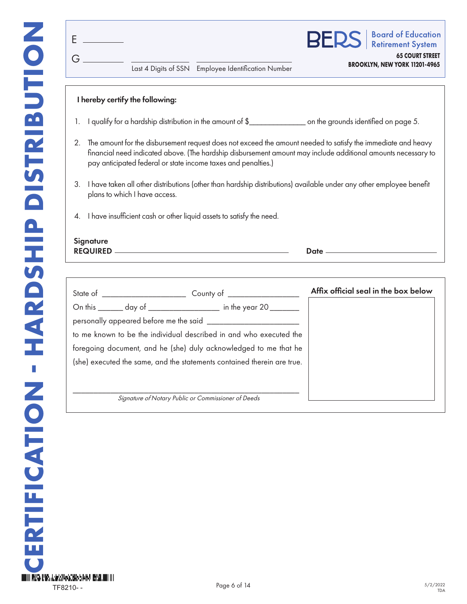| F                               |                                                            | Last 4 Digits of SSN Employee Identification Number |                                      | <b>BERS</b>   Board of Education<br><b>65 COURT STREET</b><br>BROOKLYN, NEW YORK 11201-4965 |
|---------------------------------|------------------------------------------------------------|-----------------------------------------------------|--------------------------------------|---------------------------------------------------------------------------------------------|
| I hereby certify the following: | I qualify for a hardship distribution in the amount of \$_ |                                                     | on the grounds identified on page 5. |                                                                                             |

- 2. The amount for the disbursement request does not exceed the amount needed to satisfy the immediate and heavy financial need indicated above. (The hardship disbursement amount may include additional amounts necessary to pay anticipated federal or state income taxes and penalties.)
- 3. I have taken all other distributions (other than hardship distributions) available under any other employee benefit plans to which I have access.
- 4. I have insufficient cash or other liquid assets to satisfy the need.

# **Signature** REQUIRED Date

| State of ______________________ | County of League                                                        | Affix official seal in the box below |
|---------------------------------|-------------------------------------------------------------------------|--------------------------------------|
|                                 | On this ________ day of _____________________ in the year 20 ____       |                                      |
|                                 |                                                                         |                                      |
|                                 | to me known to be the individual described in and who executed the      |                                      |
|                                 | foregoing document, and he (she) duly acknowledged to me that he        |                                      |
|                                 | (she) executed the same, and the statements contained therein are true. |                                      |
|                                 |                                                                         |                                      |
|                                 |                                                                         |                                      |
|                                 | Signature of Notary Public or Commissioner of Deeds                     |                                      |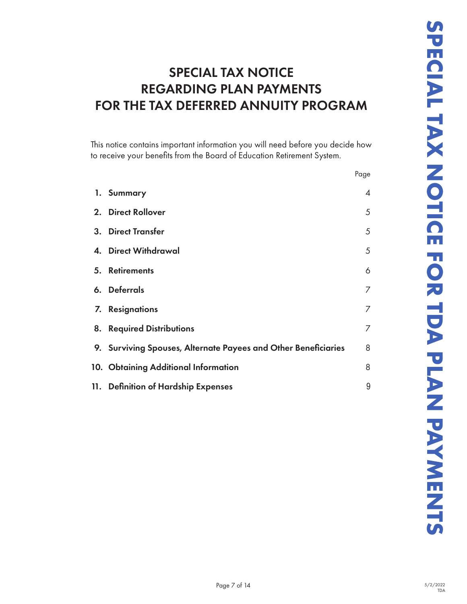# SPECIAL TAX NOTICE REGARDING PLAN PAYMENTS FOR THE TAX DEFERRED ANNUITY PROGRAM

|     | This notice contains important information you will need before you decide how<br>to receive your benefits from the Board of Education Retirement System. |                |
|-----|-----------------------------------------------------------------------------------------------------------------------------------------------------------|----------------|
|     |                                                                                                                                                           | Page           |
|     | 1. Summary                                                                                                                                                | $\overline{4}$ |
|     | 2. Direct Rollover                                                                                                                                        | 5              |
| 3.  | <b>Direct Transfer</b>                                                                                                                                    | 5              |
| 4.  | <b>Direct Withdrawal</b>                                                                                                                                  | 5              |
| 5.  | <b>Retirements</b>                                                                                                                                        | 6              |
| 6.  | <b>Deferrals</b>                                                                                                                                          | 7              |
| 7.  | <b>Resignations</b>                                                                                                                                       | $\overline{7}$ |
| 8.  | <b>Required Distributions</b>                                                                                                                             | 7              |
| 9.  | Surviving Spouses, Alternate Payees and Other Beneficiaries                                                                                               | 8              |
|     | 10. Obtaining Additional Information                                                                                                                      | 8              |
| 11. | <b>Definition of Hardship Expenses</b>                                                                                                                    | 9              |
|     |                                                                                                                                                           |                |
|     |                                                                                                                                                           |                |
|     |                                                                                                                                                           |                |
|     |                                                                                                                                                           |                |
|     |                                                                                                                                                           |                |
|     |                                                                                                                                                           |                |
|     |                                                                                                                                                           |                |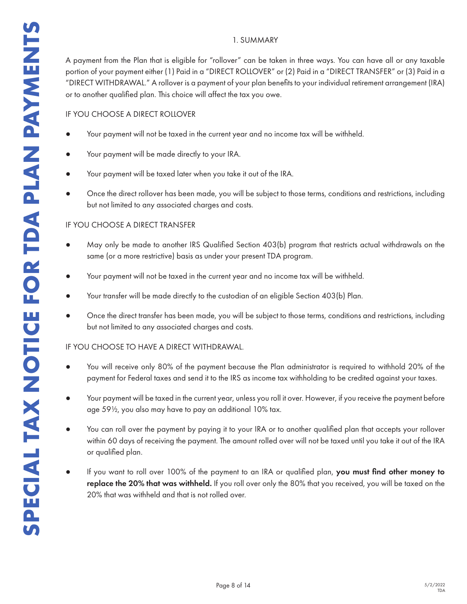#### 1. SUMMARY

A payment from the Plan that is eligible for "rollover" can be taken in three ways. You can have all or any taxable portion of your payment either (1) Paid in a "DIRECT ROLLOVER" or (2) Paid in a "DIRECT TRANSFER" or (3) Paid in a "DIRECT WITHDRAWAL." A rollover is a payment of your plan benefits to your individual retirement arrangement (IRA) or to another qualified plan. This choice will affect the tax you owe.

#### IF YOU CHOOSE A DIRECT ROLLOVER

- Your payment will not be taxed in the current year and no income tax will be withheld.
- Your payment will be made directly to your IRA.
- Your payment will be taxed later when you take it out of the IRA.
- Once the direct rollover has been made, you will be subject to those terms, conditions and restrictions, including but not limited to any associated charges and costs.

#### IF YOU CHOOSE A DIRECT TRANSFER

- May only be made to another IRS Qualified Section 403(b) program that restricts actual withdrawals on the same (or a more restrictive) basis as under your present TDA program.
- Your payment will not be taxed in the current year and no income tax will be withheld.
- Your transfer will be made directly to the custodian of an eligible Section 403(b) Plan.
- Once the direct transfer has been made, you will be subject to those terms, conditions and restrictions, including but not limited to any associated charges and costs.

#### IF YOU CHOOSE TO HAVE A DIRECT WITHDRAWAL.

- You will receive only 80% of the payment because the Plan administrator is required to withhold 20% of the payment for Federal taxes and send it to the IRS as income tax withholding to be credited against your taxes.
- Your payment will be taxed in the current year, unless you roll it over. However, if you receive the payment before age 59½, you also may have to pay an additional 10% tax.
- You can roll over the payment by paying it to your IRA or to another qualified plan that accepts your rollover within 60 days of receiving the payment. The amount rolled over will not be taxed until you take it out of the IRA or qualified plan.
- If you want to roll over 100% of the payment to an IRA or qualified plan, you must find other money to replace the 20% that was withheld. If you roll over only the 80% that you received, you will be taxed on the 20% that was withheld and that is not rolled over.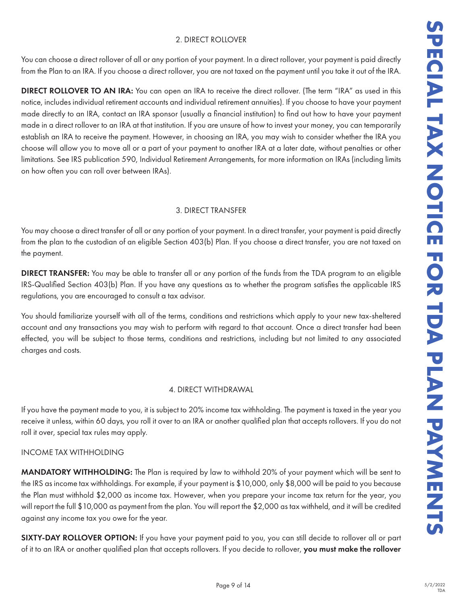# 2. DIRECT ROLLOVER

You can choose a direct rollover of all or any portion of your payment. In a direct rollover, your payment is paid directly from the Plan to an IRA. If you choose a direct rollover, you are not taxed on the payment until you take it out of the IRA.

DUCYER<br>
DOUCYER<br>
Reported on the programent until you take it out of the liRA.<br>
The restricted on the programent until you to also it is related to the state.<br>
The restricted on the proportion in the state is to the your p DIRECT ROLLOVER TO AN IRA: You can open an IRA to receive the direct rollover. (The term "IRA" as used in this notice, includes individual retirement accounts and individual retirement annuities). If you choose to have your payment made directly to an IRA, contact an IRA sponsor (usually a financial institution) to find out how to have your payment made in a direct rollover to an IRA at that institution. If you are unsure of how to invest your money, you can temporarily establish an IRA to receive the payment. However, in choosing an IRA, you may wish to consider whether the IRA you choose will allow you to move all or a part of your payment to another IRA at a later date, without penalties or other limitations. See IRS publication 590, Individual Retirement Arrangements, for more information on IRAs (including limits on how often you can roll over between IRAs).

# 3. DIRECT TRANSFER

You may choose a direct transfer of all or any portion of your payment. In a direct transfer, your payment is paid directly from the plan to the custodian of an eligible Section 403(b) Plan. If you choose a direct transfer, you are not taxed on the payment.

DIRECT TRANSFER: You may be able to transfer all or any portion of the funds from the TDA program to an eligible IRS-Qualified Section 403(b) Plan. If you have any questions as to whether the program satisfies the applicable IRS regulations, you are encouraged to consult a tax advisor.

You should familiarize yourself with all of the terms, conditions and restrictions which apply to your new tax-sheltered account and any transactions you may wish to perform with regard to that account. Once a direct transfer had been effected, you will be subject to those terms, conditions and restrictions, including but not limited to any associated charges and costs.

# 4. DIRECT WITHDRAWAL

If you have the payment made to you, it is subject to 20% income tax withholding. The payment is taxed in the year you receive it unless, within 60 days, you roll it over to an IRA or another qualified plan that accepts rollovers. If you do not roll it over, special tax rules may apply.

# INCOME TAX WITHHOLDING

MANDATORY WITHHOLDING: The Plan is required by law to withhold 20% of your payment which will be sent to the IRS as income tax withholdings. For example, if your payment is \$10,000, only \$8,000 will be paid to you because the Plan must withhold \$2,000 as income tax. However, when you prepare your income tax return for the year, you will report the full \$10,000 as payment from the plan. You will report the \$2,000 as tax withheld, and it will be credited against any income tax you owe for the year.

SIXTY-DAY ROLLOVER OPTION: If you have your payment paid to you, you can still decide to rollover all or part of it to an IRA or another qualified plan that accepts rollovers. If you decide to rollover, you must make the rollover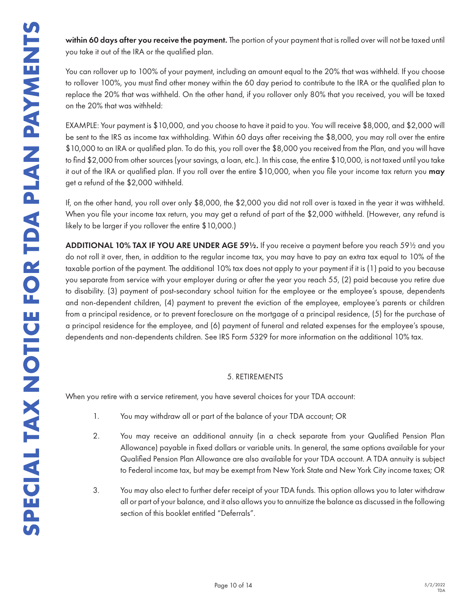within 60 days after you receive the payment. The portion of your payment that is rolled over will not be taxed until you take it out of the IRA or the qualified plan.

You can rollover up to 100% of your payment, including an amount equal to the 20% that was withheld. If you choose to rollover 100%, you must find other money within the 60 day period to contribute to the IRA or the qualified plan to replace the 20% that was withheld. On the other hand, if you rollover only 80% that you received, you will be taxed on the 20% that was withheld:

EXAMPLE: Your payment is \$10,000, and you choose to have it paid to you. You will receive \$8,000, and \$2,000 will be sent to the IRS as income tax withholding. Within 60 days after receiving the \$8,000, you may roll over the entire \$10,000 to an IRA or qualified plan. To do this, you roll over the \$8,000 you received from the Plan, and you will have to find \$2,000 from other sources (your savings, a loan, etc.). In this case, the entire \$10,000, is not taxed until you take it out of the IRA or qualified plan. If you roll over the entire \$10,000, when you file your income tax return you may get a refund of the \$2,000 withheld.

If, on the other hand, you roll over only \$8,000, the \$2,000 you did not roll over is taxed in the year it was withheld. When you file your income tax return, you may get a refund of part of the \$2,000 withheld. (However, any refund is likely to be larger if you rollover the entire \$10,000.)

ADDITIONAL 10% TAX IF YOU ARE UNDER AGE 59½. If you receive a payment before you reach 59½ and you do not roll it over, then, in addition to the regular income tax, you may have to pay an extra tax equal to 10% of the taxable portion of the payment. The additional 10% tax does not apply to your payment if it is (1) paid to you because you separate from service with your employer during or after the year you reach 55, (2) paid because you retire due to disability. (3) payment of post-secondary school tuition for the employee or the employee's spouse, dependents and non-dependent children, (4) payment to prevent the eviction of the employee, employee's parents or children from a principal residence, or to prevent foreclosure on the mortgage of a principal residence, (5) for the purchase of a principal residence for the employee, and (6) payment of funeral and related expenses for the employee's spouse, dependents and non-dependents children. See IRS Form 5329 for more information on the additional 10% tax.

#### 5. RETIREMENTS

When you retire with a service retirement, you have several choices for your TDA account:

- 1. You may withdraw all or part of the balance of your TDA account; OR
- 2. You may receive an additional annuity (in a check separate from your Qualified Pension Plan Allowance) payable in fixed dollars or variable units. In general, the same options available for your Qualified Pension Plan Allowance are also available for your TDA account. A TDA annuity is subject to Federal income tax, but may be exempt from New York State and New York City income taxes; OR
- 3. You may also elect to further defer receipt of your TDA funds. This option allows you to later withdraw all or part of your balance, and it also allows you to annuitize the balance as discussed in the following section of this booklet entitled "Deferrals".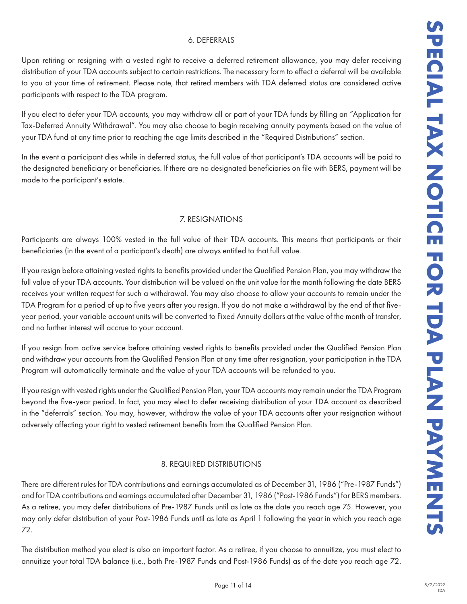#### 6. DEFERRALS

Upon retiring or resigning with a vested right to receive a deferred retirement allowance, you may defer receiving distribution of your TDA accounts subject to certain restrictions. The necessary form to effect a deferral will be available to you at your time of retirement. Please note, that retired members with TDA deferred status are considered active participants with respect to the TDA program.

If you elect to defer your TDA accounts, you may withdraw all or part of your TDA funds by filling an "Application for Tax-Deferred Annuity Withdrawal". You may also choose to begin receiving annuity payments based on the value of your TDA fund at any time prior to reaching the age limits described in the "Required Distributions" section.

In the event a participant dies while in deferred status, the full value of that participant's TDA accounts will be paid to the designated beneficiary or beneficiaries. If there are no designated beneficiaries on file with BERS, payment will be made to the participant's estate.

#### 7. RESIGNATIONS

Participants are always 100% vested in the full value of their TDA accounts. This means that participants or their beneficiaries (in the event of a participant's death) are always entitled to that full value.

If you resign before attaining vested rights to benefits provided under the Qualified Pension Plan, you may withdraw the full value of your TDA accounts. Your distribution will be valued on the unit value for the month following the date BERS receives your written request for such a withdrawal. You may also choose to allow your accounts to remain under the TDA Program for a period of up to five years after you resign. If you do not make a withdrawal by the end of that fiveyear period, your variable account units will be converted to Fixed Annuity dollars at the value of the month of transfer, and no further interest will accrue to your account.

If you resign from active service before attaining vested rights to benefits provided under the Qualified Pension Plan and withdraw your accounts from the Qualified Pension Plan at any time after resignation, your participation in the TDA Program will automatically terminate and the value of your TDA accounts will be refunded to you.

If you resign with vested rights under the Qualified Pension Plan, your TDA accounts may remain under the TDA Program beyond the five-year period. In fact, you may elect to defer receiving distribution of your TDA account as described in the "deferrals" section. You may, however, withdraw the value of your TDA accounts after your resignation without adversely affecting your right to vested retirement benefits from the Qualified Pension Plan.

#### 8. REQUIRED DISTRIBUTIONS

There are different rules for TDA contributions and earnings accumulated as of December 31, 1986 ("Pre-1987 Funds") and for TDA contributions and earnings accumulated after December 31, 1986 ("Post-1986 Funds") for BERS members. As a retiree, you may defer distributions of Pre-1987 Funds until as late as the date you reach age 75. However, you may only defer distribution of your Post-1986 Funds until as late as April 1 following the year in which you reach age 72.

The distribution method you elect is also an important factor. As a retiree, if you choose to annuitize, you must elect to annuitize your total TDA balance (i.e., both Pre-1987 Funds and Post-1986 Funds) as of the date you reach age 72.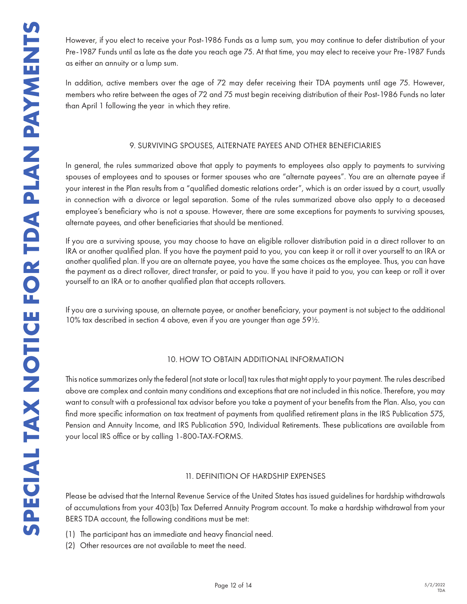However, if you elect to receive your Post-1986 Funds as a lump sum, you may continue to defer distribution of your Pre-1987 Funds until as late as the date you reach age 75. At that time, you may elect to receive your Pre-1987 Funds as either an annuity or a lump sum.

In addition, active members over the age of 72 may defer receiving their TDA payments until age 75. However, members who retire between the ages of 72 and 75 must begin receiving distribution of their Post-1986 Funds no later than April 1 following the year in which they retire.

#### 9. SURVIVING SPOUSES, ALTERNATE PAYEES AND OTHER BENEFICIARIES

In general, the rules summarized above that apply to payments to employees also apply to payments to surviving spouses of employees and to spouses or former spouses who are "alternate payees". You are an alternate payee if your interest in the Plan results from a "qualified domestic relations order", which is an order issued by a court, usually in connection with a divorce or legal separation. Some of the rules summarized above also apply to a deceased employee's beneficiary who is not a spouse. However, there are some exceptions for payments to surviving spouses, alternate payees, and other beneficiaries that should be mentioned.

If you are a surviving spouse, you may choose to have an eligible rollover distribution paid in a direct rollover to an IRA or another qualified plan. If you have the payment paid to you, you can keep it or roll it over yourself to an IRA or another qualified plan. If you are an alternate payee, you have the same choices as the employee. Thus, you can have the payment as a direct rollover, direct transfer, or paid to you. If you have it paid to you, you can keep or roll it over yourself to an IRA or to another qualified plan that accepts rollovers.

If you are a surviving spouse, an alternate payee, or another beneficiary, your payment is not subject to the additional 10% tax described in section 4 above, even if you are younger than age 59½.

#### 10. HOW TO OBTAIN ADDITIONAL INFORMATION

This notice summarizes only the federal (not state or local) tax rules that might apply to your payment. The rules described above are complex and contain many conditions and exceptions that are not included in this notice. Therefore, you may want to consult with a professional tax advisor before you take a payment of your benefits from the Plan. Also, you can find more specific information on tax treatment of payments from qualified retirement plans in the IRS Publication 575, Pension and Annuity Income, and IRS Publication 590, Individual Retirements. These publications are available from your local IRS office or by calling 1-800-TAX-FORMS.

#### 11. DEFINITION OF HARDSHIP EXPENSES

Please be advised that the Internal Revenue Service of the United States has issued guidelines for hardship withdrawals of accumulations from your 403(b) Tax Deferred Annuity Program account. To make a hardship withdrawal from your BERS TDA account, the following conditions must be met:

- (1) The participant has an immediate and heavy financial need.
- (2) Other resources are not available to meet the need.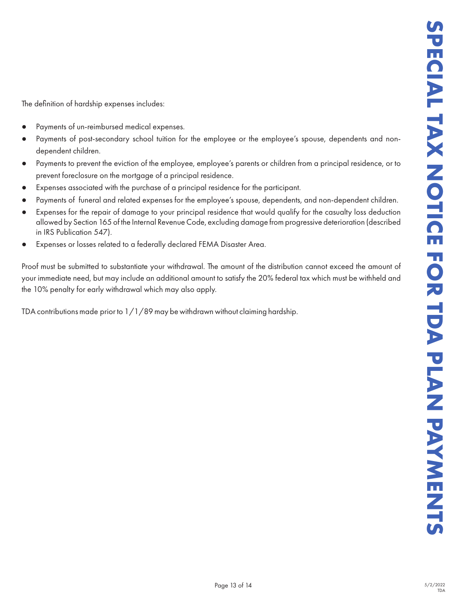The definition of hardship expenses includes:

- Payments of un-reimbursed medical expenses.
- Payments of post-secondary school tuition for the employee or the employee's spouse, dependents and nondependent children.
- Payments to prevent the eviction of the employee, employee's parents or children from a principal residence, or to prevent foreclosure on the mortgage of a principal residence.
- Expenses associated with the purchase of a principal residence for the participant.
- Payments of funeral and related expenses for the employee's spouse, dependents, and non-dependent children.
- Expenses for the repair of damage to your principal residence that would qualify for the casualty loss deduction allowed by Section 165 of the Internal Revenue Code, excluding damage from progressive deterioration (described in IRS Publication 547).
- Expenses or losses related to a federally declared FEMA Disaster Area.

Proof must be submitted to substantiate your withdrawal. The amount of the distribution cannot exceed the amount of your immediate need, but may include an additional amount to satisfy the 20% federal tax which must be withheld and the 10% penalty for early withdrawal which may also apply.

TDA contributions made prior to 1/1/89 may be withdrawn without claiming hardship.